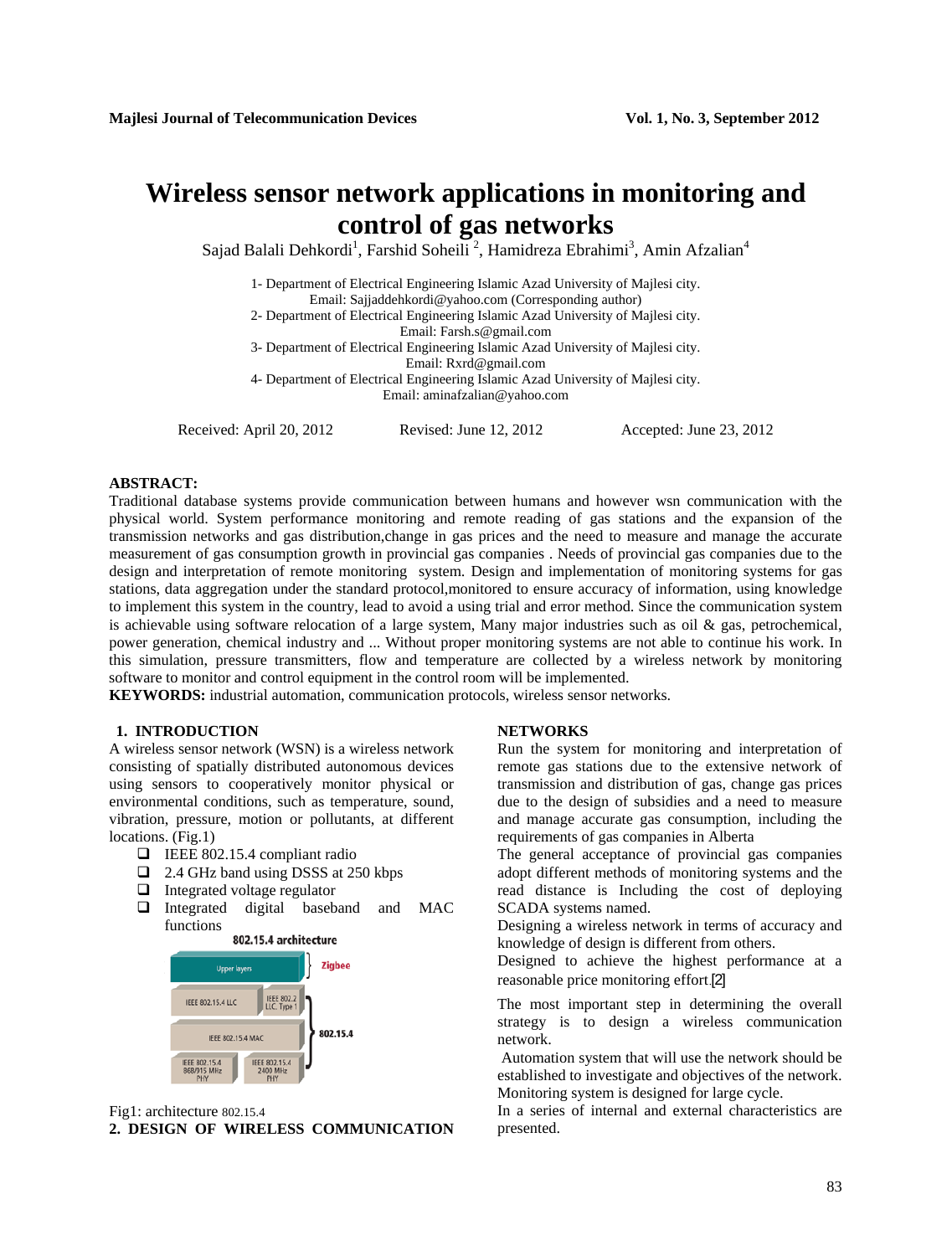# **Wireless sensor network applications in monitoring and control of gas networks**

Sajad Balali Dehkordi<sup>1</sup>, Farshid Soheili<sup>2</sup>, Hamidreza Ebrahimi<sup>3</sup>, Amin Afzalian<sup>4</sup>

1- Department of Electrical Engineering Islamic Azad University of Majlesi city. Email: Sajjaddehkordi@yahoo.com (Corresponding author)

2- Department of Electrical Engineering Islamic Azad University of Majlesi city.

Email: [Farsh.s@gmail.com](mailto:Farsh.s@gmail.com)

3- Department of Electrical Engineering Islamic Azad University of Majlesi city. Email: Rxrd@gmail.com

4- Department of Electrical Engineering Islamic Azad University of Majlesi city. Email: [aminafzalian@yahoo.com](mailto:aminafzalian@yahoo.com)

Received: April 20, 2012 Revised: June 12, 2012 Accepted: June 23, 2012

# **ABSTRACT:**

Traditional database systems provide communication between humans and however wsn communication with the physical world. System performance monitoring and remote reading of gas stations and the expansion of the transmission networks and gas distribution,change in gas prices and the need to measure and manage the accurate measurement of gas consumption growth in provincial gas companies . Needs of provincial gas companies due to the design and interpretation of remote monitoring system. Design and implementation of monitoring systems for gas stations, data aggregation under the standard protocol,monitored to ensure accuracy of information, using knowledge to implement this system in the country, lead to avoid a using trial and error method. Since the communication system is achievable using software relocation of a large system, Many major industries such as oil  $\&$  gas, petrochemical, power generation, chemical industry and ... Without proper monitoring systems are not able to continue his work. In this simulation, pressure transmitters, flow and temperature are collected by a wireless network by monitoring software to monitor and control equipment in the control room will be implemented.

**KEYWORDS:** industrial automation, communication protocols, wireless sensor networks.

# **1. INTRODUCTION NETWORKS**

A wireless sensor network (WSN) is a wireless network consisting of spatially distributed autonomous devices using sensors to cooperatively monitor physical or environmental conditions, such as temperature, sound, vibration, pressure, motion or pollutants, at different locations. (Fig.1)

- IEEE 802.15.4 compliant radio
- 2.4 GHz band using DSSS at 250 kbps
- $\Box$  Integrated voltage regulator
- Integrated digital baseband and MAC functions





Fig1: architecture 802.15.4

**2. DESIGN OF WIRELESS COMMUNICATION** presented.

Run the system for monitoring and interpretation of remote gas stations due to the extensive network of transmission and distribution of gas, change gas prices due to the design of subsidies and a need to measure and manage accurate gas consumption, including the requirements of gas companies in Alberta

The general acceptance of provincial gas companies adopt different methods of monitoring systems and the read distance is Including the cost of deploying SCADA systems named.

Designing a wireless network in terms of accuracy and knowledge of design is different from others.

Designed to achieve the highest performance at a reasonable price monitoring effort.[2]

The most important step in determining the overall strategy is to design a wireless communication network.

Automation system that will use the network should be established to investigate and objectives of the network. Monitoring system is designed for large cycle.

In a series of internal and external characteristics are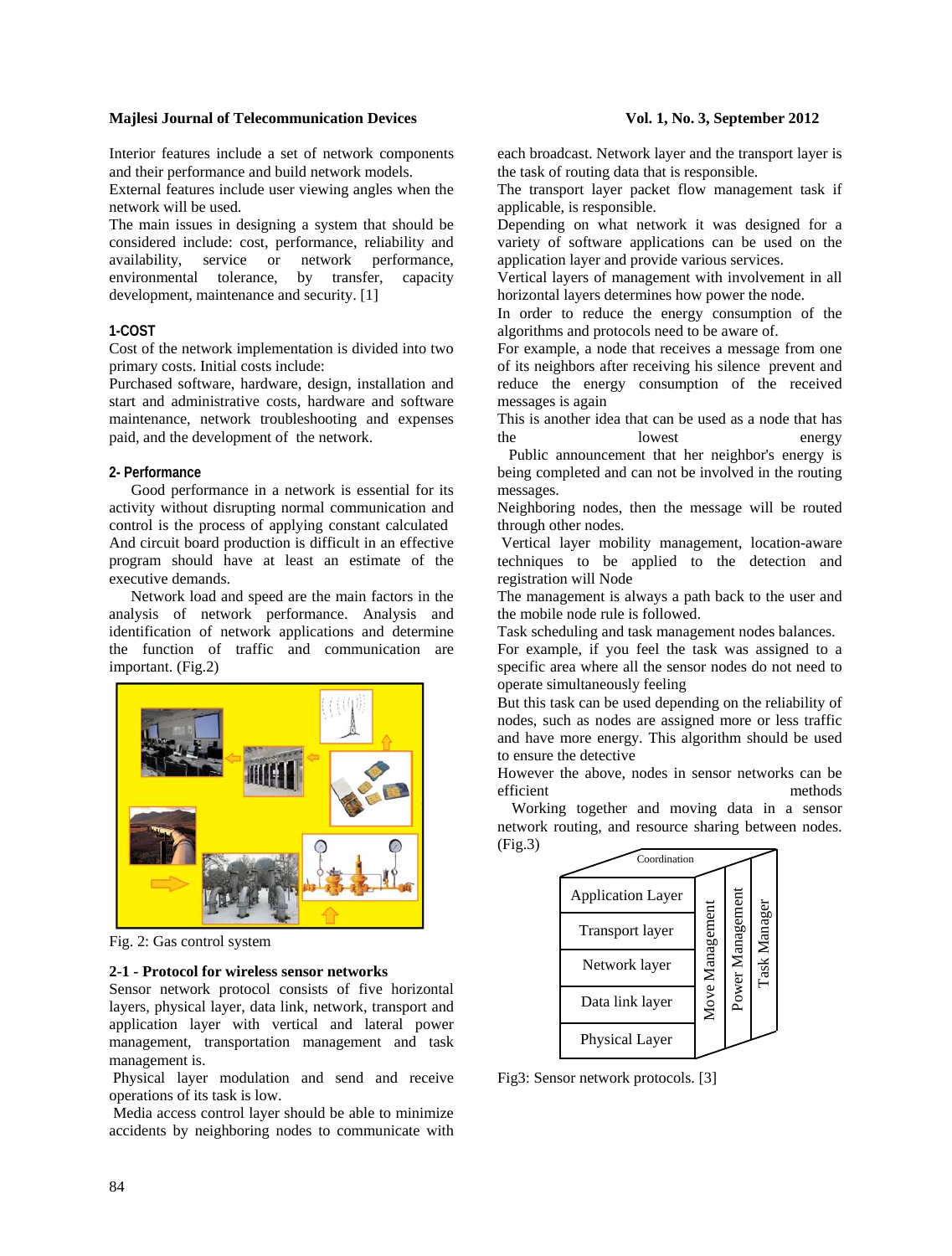# **Majlesi Journal of Telecommunication Devices** Vol. 1, No. 3, September 2012

Interior features include a set of network components and their performance and build network models.

External features include user viewing angles when the network will be used.

The main issues in designing a system that should be considered include: cost, performance, reliability and availability, service or network performance, environmental tolerance, by transfer, capacity development, maintenance and security. [1]

### **1-COST**

Cost of the network implementation is divided into two primary costs. Initial costs include:

Purchased software, hardware, design, installation and start and administrative costs, hardware and software maintenance, network troubleshooting and expenses paid, and the development of the network.

### **2- Performance**

Good performance in a network is essential for its activity without disrupting normal communication and control is the process of applying constant calculated And circuit board production is difficult in an effective program should have at least an estimate of the executive demands.

Network load and speed are the main factors in the analysis of network performance. Analysis and identification of network applications and determine the function of traffic and communication are important. (Fig.2)



Fig. 2: Gas control system

# **2-1 - Protocol for wireless sensor networks**

Sensor network protocol consists of five horizontal layers, physical layer, data link, network, transport and application layer with vertical and lateral power management, transportation management and task management is.

Physical layer modulation and send and receive operations of its task is low.

Media access control layer should be able to minimize accidents by neighboring nodes to communicate with

each broadcast. Network layer and the transport layer is the task of routing data that is responsible.

The transport layer packet flow management task if applicable, is responsible.

Depending on what network it was designed for a variety of software applications can be used on the application layer and provide various services.

Vertical layers of management with involvement in all horizontal layers determines how power the node.

In order to reduce the energy consumption of the algorithms and protocols need to be aware of.

For example, a node that receives a message from one of its neighbors after receiving his silence prevent and reduce the energy consumption of the received messages is again

This is another idea that can be used as a node that has the lowest energy

 Public announcement that her neighbor's energy is being completed and can not be involved in the routing messages.

Neighboring nodes, then the message will be routed through other nodes.

Vertical layer mobility management, location-aware techniques to be applied to the detection and registration will Node

The management is always a path back to the user and the mobile node rule is followed.

Task scheduling and task management nodes balances.

For example, if you feel the task was assigned to a specific area where all the sensor nodes do not need to operate simultaneously feeling

But this task can be used depending on the reliability of nodes, such as nodes are assigned more or less traffic and have more energy. This algorithm should be used to ensure the detective

However the above, nodes in sensor networks can be efficient methods

 Working together and moving data in a sensor network routing, and resource sharing between nodes. (Fig.3)



Fig3: Sensor network protocols. [3]